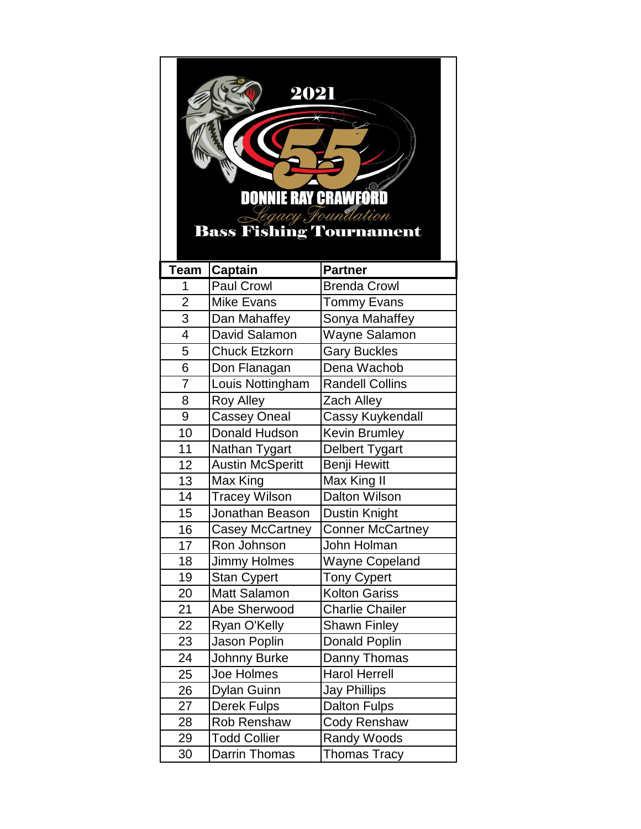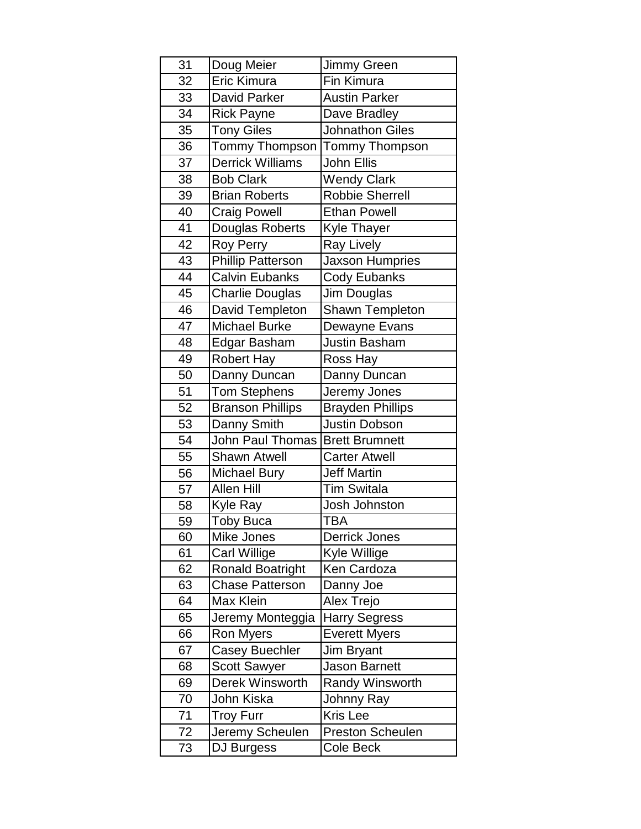| 31 | Doug Meier               | Jimmy Green             |
|----|--------------------------|-------------------------|
| 32 | Eric Kimura              | Fin Kimura              |
| 33 | <b>David Parker</b>      | <b>Austin Parker</b>    |
| 34 | <b>Rick Payne</b>        | Dave Bradley            |
| 35 | <b>Tony Giles</b>        | <b>Johnathon Giles</b>  |
| 36 | Tommy Thompson           | Tommy Thompson          |
| 37 | <b>Derrick Williams</b>  | John Ellis              |
| 38 | <b>Bob Clark</b>         | <b>Wendy Clark</b>      |
| 39 | <b>Brian Roberts</b>     | <b>Robbie Sherrell</b>  |
| 40 | <b>Craig Powell</b>      | <b>Ethan Powell</b>     |
| 41 | Douglas Roberts          | <b>Kyle Thayer</b>      |
| 42 | <b>Roy Perry</b>         | <b>Ray Lively</b>       |
| 43 | <b>Phillip Patterson</b> | <b>Jaxson Humpries</b>  |
| 44 | <b>Calvin Eubanks</b>    | <b>Cody Eubanks</b>     |
| 45 | <b>Charlie Douglas</b>   | Jim Douglas             |
| 46 | David Templeton          | Shawn Templeton         |
| 47 | <b>Michael Burke</b>     | Dewayne Evans           |
| 48 | Edgar Basham             | <b>Justin Basham</b>    |
| 49 | <b>Robert Hay</b>        | Ross Hay                |
| 50 | Danny Duncan             | Danny Duncan            |
| 51 | <b>Tom Stephens</b>      | Jeremy Jones            |
| 52 | <b>Branson Phillips</b>  | <b>Brayden Phillips</b> |
| 53 | Danny Smith              | Justin Dobson           |
| 54 | <b>John Paul Thomas</b>  | <b>Brett Brumnett</b>   |
| 55 | <b>Shawn Atwell</b>      | <b>Carter Atwell</b>    |
| 56 | <b>Michael Bury</b>      | <b>Jeff Martin</b>      |
| 57 | <b>Allen Hill</b>        | <b>Tim Switala</b>      |
| 58 | Kyle Ray                 | Josh Johnston           |
| 59 | <b>Toby Buca</b>         | <b>TBA</b>              |
| 60 | Mike Jones               | <b>Derrick Jones</b>    |
| 61 | <b>Carl Willige</b>      | Kyle Willige            |
| 62 | <b>Ronald Boatright</b>  | Ken Cardoza             |
| 63 | <b>Chase Patterson</b>   | Danny Joe               |
| 64 | Max Klein                | Alex Trejo              |
| 65 | Jeremy Monteggia         | <b>Harry Segress</b>    |
| 66 | <b>Ron Myers</b>         | <b>Everett Myers</b>    |
| 67 | <b>Casey Buechler</b>    | Jim Bryant              |
| 68 | <b>Scott Sawyer</b>      | Jason Barnett           |
| 69 | Derek Winsworth          | <b>Randy Winsworth</b>  |
| 70 | John Kiska               | Johnny Ray              |
| 71 | <b>Troy Furr</b>         | <b>Kris Lee</b>         |
| 72 | Jeremy Scheulen          | Preston Scheulen        |
| 73 | DJ Burgess               | Cole Beck               |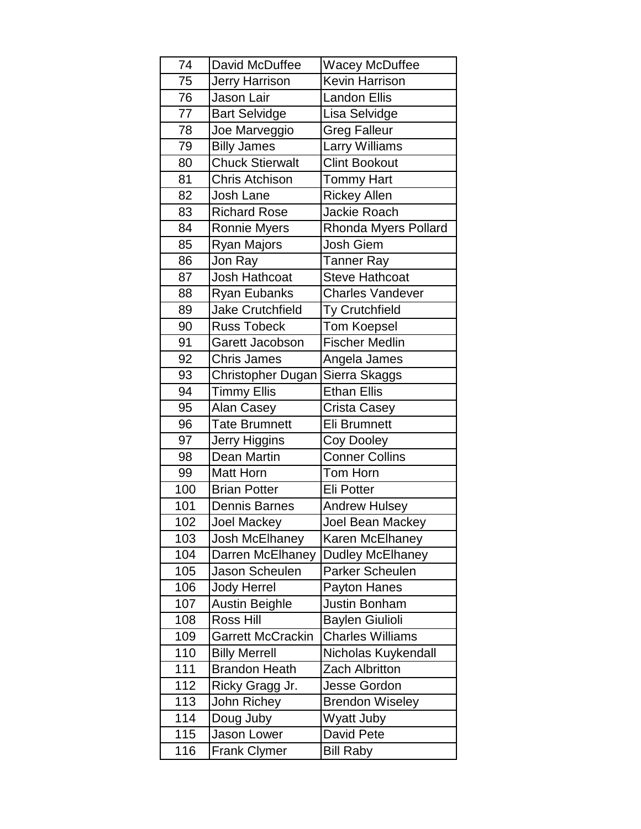| 74  | David McDuffee           | Wacey McDuffee          |
|-----|--------------------------|-------------------------|
| 75  | Jerry Harrison           | <b>Kevin Harrison</b>   |
| 76  | Jason Lair               | <b>Landon Ellis</b>     |
| 77  | <b>Bart Selvidge</b>     | Lisa Selvidge           |
| 78  | Joe Marveggio            | <b>Greg Falleur</b>     |
| 79  | <b>Billy James</b>       | Larry Williams          |
| 80  | <b>Chuck Stierwalt</b>   | <b>Clint Bookout</b>    |
| 81  | <b>Chris Atchison</b>    | <b>Tommy Hart</b>       |
| 82  | Josh Lane                | <b>Rickey Allen</b>     |
| 83  | <b>Richard Rose</b>      | Jackie Roach            |
| 84  | Ronnie Myers             | Rhonda Myers Pollard    |
| 85  | Ryan Majors              | Josh Giem               |
| 86  | Jon Ray                  | <b>Tanner Ray</b>       |
| 87  | Josh Hathcoat            | <b>Steve Hathcoat</b>   |
| 88  | <b>Ryan Eubanks</b>      | <b>Charles Vandever</b> |
| 89  | <b>Jake Crutchfield</b>  | Ty Crutchfield          |
| 90  | <b>Russ Tobeck</b>       | <b>Tom Koepsel</b>      |
| 91  | Garett Jacobson          | <b>Fischer Medlin</b>   |
| 92  | <b>Chris James</b>       | Angela James            |
| 93  | <b>Christopher Dugan</b> | Sierra Skaggs           |
| 94  | <b>Timmy Ellis</b>       | <b>Ethan Ellis</b>      |
| 95  | Alan Casey               | Crista Casey            |
| 96  | <b>Tate Brumnett</b>     | <b>Eli Brumnett</b>     |
| 97  | Jerry Higgins            | Coy Dooley              |
| 98  | Dean Martin              | <b>Conner Collins</b>   |
| 99  | <b>Matt Horn</b>         | Tom Horn                |
| 100 | <b>Brian Potter</b>      | <b>Eli Potter</b>       |
| 101 | <b>Dennis Barnes</b>     | <b>Andrew Hulsey</b>    |
| 102 | Joel Mackey              | Joel Bean Mackey        |
| 103 | Josh McElhaney           | Karen McElhaney         |
| 104 | Darren McElhaney         | <b>Dudley McElhaney</b> |
| 105 | Jason Scheulen           | Parker Scheulen         |
| 106 | <b>Jody Herrel</b>       | Payton Hanes            |
| 107 | <b>Austin Beighle</b>    | <b>Justin Bonham</b>    |
| 108 | Ross Hill                | <b>Baylen Giulioli</b>  |
| 109 | <b>Garrett McCrackin</b> | <b>Charles Williams</b> |
| 110 | <b>Billy Merrell</b>     | Nicholas Kuykendall     |
| 111 | <b>Brandon Heath</b>     | <b>Zach Albritton</b>   |
| 112 | Ricky Gragg Jr.          | <b>Jesse Gordon</b>     |
| 113 | John Richey              | <b>Brendon Wiseley</b>  |
| 114 | Doug Juby                | Wyatt Juby              |
| 115 | Jason Lower              | David Pete              |
| 116 | <b>Frank Clymer</b>      | <b>Bill Raby</b>        |